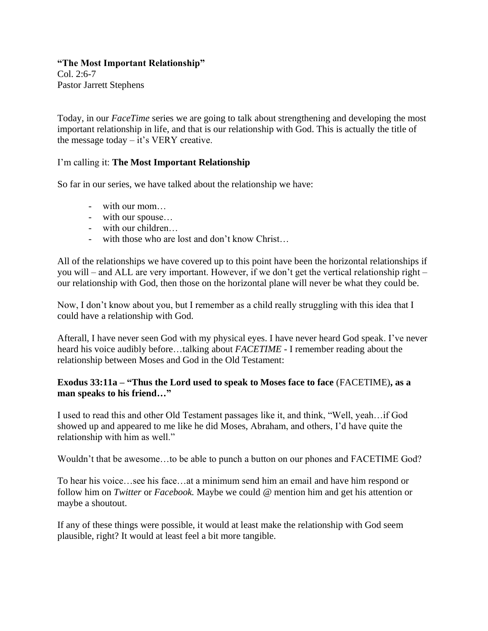#### **"The Most Important Relationship"**

Col. 2:6-7 Pastor Jarrett Stephens

Today, in our *FaceTime* series we are going to talk about strengthening and developing the most important relationship in life, and that is our relationship with God. This is actually the title of the message today – it's VERY creative.

## I'm calling it: **The Most Important Relationship**

So far in our series, we have talked about the relationship we have:

- with our mom…
- with our spouse…
- with our children…
- with those who are lost and don't know Christ…

All of the relationships we have covered up to this point have been the horizontal relationships if you will – and ALL are very important. However, if we don't get the vertical relationship right – our relationship with God, then those on the horizontal plane will never be what they could be.

Now, I don't know about you, but I remember as a child really struggling with this idea that I could have a relationship with God.

Afterall, I have never seen God with my physical eyes. I have never heard God speak. I've never heard his voice audibly before…talking about *FACETIME -* I remember reading about the relationship between Moses and God in the Old Testament:

#### **Exodus 33:11a – "Thus the Lord used to speak to Moses face to face** (FACETIME)**, as a man speaks to his friend…"**

I used to read this and other Old Testament passages like it, and think, "Well, yeah…if God showed up and appeared to me like he did Moses, Abraham, and others, I'd have quite the relationship with him as well."

Wouldn't that be awesome…to be able to punch a button on our phones and FACETIME God?

To hear his voice…see his face…at a minimum send him an email and have him respond or follow him on *Twitter* or *Facebook.* Maybe we could @ mention him and get his attention or maybe a shoutout.

If any of these things were possible, it would at least make the relationship with God seem plausible, right? It would at least feel a bit more tangible.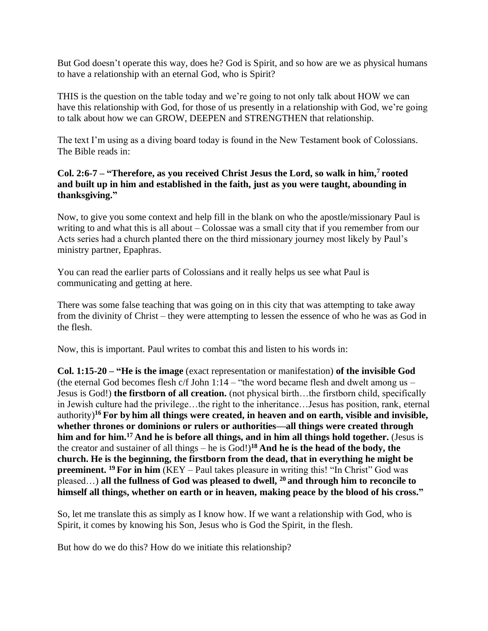But God doesn't operate this way, does he? God is Spirit, and so how are we as physical humans to have a relationship with an eternal God, who is Spirit?

THIS is the question on the table today and we're going to not only talk about HOW we can have this relationship with God, for those of us presently in a relationship with God, we're going to talk about how we can GROW, DEEPEN and STRENGTHEN that relationship.

The text I'm using as a diving board today is found in the New Testament book of Colossians. The Bible reads in:

## **Col. 2:6-7 – "Therefore, as you received Christ Jesus the Lord, so walk in him,<sup>7</sup> rooted and built up in him and established in the faith, just as you were taught, abounding in thanksgiving."**

Now, to give you some context and help fill in the blank on who the apostle/missionary Paul is writing to and what this is all about – Colossae was a small city that if you remember from our Acts series had a church planted there on the third missionary journey most likely by Paul's ministry partner, Epaphras.

You can read the earlier parts of Colossians and it really helps us see what Paul is communicating and getting at here.

There was some false teaching that was going on in this city that was attempting to take away from the divinity of Christ – they were attempting to lessen the essence of who he was as God in the flesh.

Now, this is important. Paul writes to combat this and listen to his words in:

**Col. 1:15-20 – "He is the image** (exact representation or manifestation) **of the invisible God** (the eternal God becomes flesh  $c/f$  John 1:14 – "the word became flesh and dwelt among us – Jesus is God!) **the firstborn of all creation.** (not physical birth…the firstborn child, specifically in Jewish culture had the privilege…the right to the inheritance…Jesus has position, rank, eternal authority)**<sup>16</sup> For by him all things were created, in heaven and on earth, visible and invisible, whether thrones or dominions or rulers or authorities—all things were created through him and for him.<sup>17</sup> And he is before all things, and in him all things hold together.** (Jesus is the creator and sustainer of all things – he is God!)**<sup>18</sup> And he is the head of the body, the church. He is the beginning, the firstborn from the dead, that in everything he might be preeminent.** <sup>19</sup> For in him (KEY – Paul takes pleasure in writing this! "In Christ" God was pleased…) **all the fullness of God was pleased to dwell, <sup>20</sup> and through him to reconcile to himself all things, whether on earth or in heaven, making peace by the blood of his cross."**

So, let me translate this as simply as I know how. If we want a relationship with God, who is Spirit, it comes by knowing his Son, Jesus who is God the Spirit, in the flesh.

But how do we do this? How do we initiate this relationship?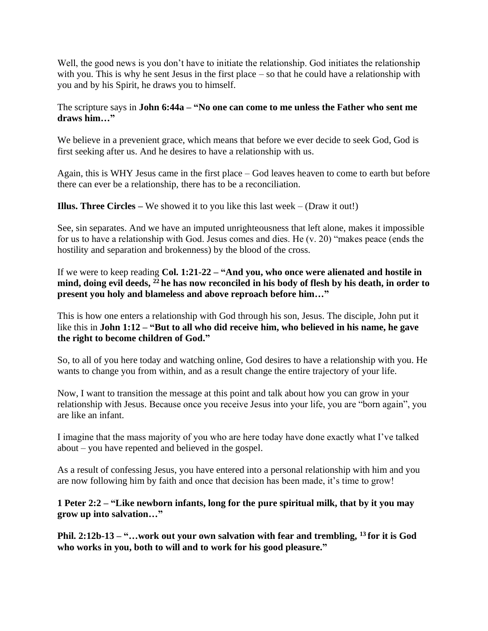Well, the good news is you don't have to initiate the relationship. God initiates the relationship with you. This is why he sent Jesus in the first place – so that he could have a relationship with you and by his Spirit, he draws you to himself.

### The scripture says in **John 6:44a – "No one can come to me unless the Father who sent me draws him…"**

We believe in a prevenient grace, which means that before we ever decide to seek God, God is first seeking after us. And he desires to have a relationship with us.

Again, this is WHY Jesus came in the first place – God leaves heaven to come to earth but before there can ever be a relationship, there has to be a reconciliation.

**Illus. Three Circles –** We showed it to you like this last week – (Draw it out!)

See, sin separates. And we have an imputed unrighteousness that left alone, makes it impossible for us to have a relationship with God. Jesus comes and dies. He (v. 20) "makes peace (ends the hostility and separation and brokenness) by the blood of the cross.

If we were to keep reading **Col. 1:21-22 – "And you, who once were alienated and hostile in mind, doing evil deeds, <sup>22</sup> he has now reconciled in his body of flesh by his death, in order to present you holy and blameless and above reproach before him…"**

This is how one enters a relationship with God through his son, Jesus. The disciple, John put it like this in **John 1:12 – "But to all who did receive him, who believed in his name, he gave the right to become children of God."**

So, to all of you here today and watching online, God desires to have a relationship with you. He wants to change you from within, and as a result change the entire trajectory of your life.

Now, I want to transition the message at this point and talk about how you can grow in your relationship with Jesus. Because once you receive Jesus into your life, you are "born again", you are like an infant.

I imagine that the mass majority of you who are here today have done exactly what I've talked about – you have repented and believed in the gospel.

As a result of confessing Jesus, you have entered into a personal relationship with him and you are now following him by faith and once that decision has been made, it's time to grow!

**1 Peter 2:2 – "Like newborn infants, long for the pure spiritual milk, that by it you may grow up into salvation…"**

**Phil. 2:12b-13 – "…work out your own salvation with fear and trembling, <sup>13</sup> for it is God who works in you, both to will and to work for his good pleasure."**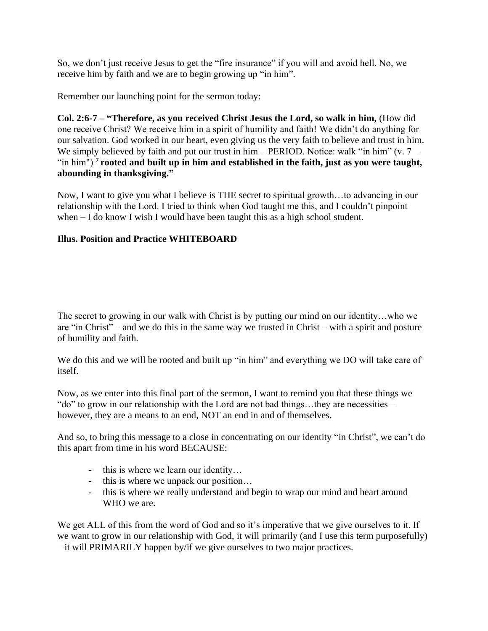So, we don't just receive Jesus to get the "fire insurance" if you will and avoid hell. No, we receive him by faith and we are to begin growing up "in him".

Remember our launching point for the sermon today:

**Col. 2:6-7 – "Therefore, as you received Christ Jesus the Lord, so walk in him,** (How did one receive Christ? We receive him in a spirit of humility and faith! We didn't do anything for our salvation. God worked in our heart, even giving us the very faith to believe and trust in him. We simply believed by faith and put our trust in him – PERIOD. Notice: walk "in him" (v.  $7 -$ "in him") **<sup>7</sup> rooted and built up in him and established in the faith, just as you were taught, abounding in thanksgiving."**

Now, I want to give you what I believe is THE secret to spiritual growth…to advancing in our relationship with the Lord. I tried to think when God taught me this, and I couldn't pinpoint when – I do know I wish I would have been taught this as a high school student.

# **Illus. Position and Practice WHITEBOARD**

The secret to growing in our walk with Christ is by putting our mind on our identity…who we are "in Christ" – and we do this in the same way we trusted in Christ – with a spirit and posture of humility and faith.

We do this and we will be rooted and built up "in him" and everything we DO will take care of itself.

Now, as we enter into this final part of the sermon, I want to remind you that these things we "do" to grow in our relationship with the Lord are not bad things…they are necessities – however, they are a means to an end, NOT an end in and of themselves.

And so, to bring this message to a close in concentrating on our identity "in Christ", we can't do this apart from time in his word BECAUSE:

- this is where we learn our identity…
- this is where we unpack our position…
- this is where we really understand and begin to wrap our mind and heart around WHO we are.

We get ALL of this from the word of God and so it's imperative that we give ourselves to it. If we want to grow in our relationship with God, it will primarily (and I use this term purposefully) – it will PRIMARILY happen by/if we give ourselves to two major practices.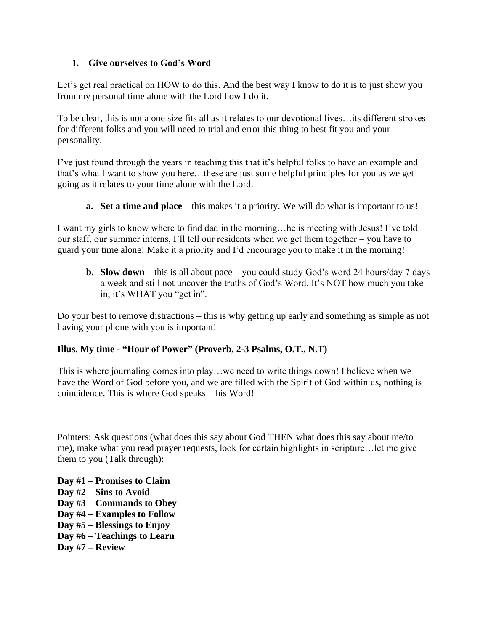# **1. Give ourselves to God's Word**

Let's get real practical on HOW to do this. And the best way I know to do it is to just show you from my personal time alone with the Lord how I do it.

To be clear, this is not a one size fits all as it relates to our devotional lives…its different strokes for different folks and you will need to trial and error this thing to best fit you and your personality.

I've just found through the years in teaching this that it's helpful folks to have an example and that's what I want to show you here…these are just some helpful principles for you as we get going as it relates to your time alone with the Lord.

**a. Set a time and place –** this makes it a priority. We will do what is important to us!

I want my girls to know where to find dad in the morning…he is meeting with Jesus! I've told our staff, our summer interns, I'll tell our residents when we get them together – you have to guard your time alone! Make it a priority and I'd encourage you to make it in the morning!

**b. Slow down –** this is all about pace – you could study God's word 24 hours/day 7 days a week and still not uncover the truths of God's Word. It's NOT how much you take in, it's WHAT you "get in".

Do your best to remove distractions – this is why getting up early and something as simple as not having your phone with you is important!

# **Illus. My time - "Hour of Power" (Proverb, 2-3 Psalms, O.T., N.T)**

This is where journaling comes into play…we need to write things down! I believe when we have the Word of God before you, and we are filled with the Spirit of God within us, nothing is coincidence. This is where God speaks – his Word!

Pointers: Ask questions (what does this say about God THEN what does this say about me/to me), make what you read prayer requests, look for certain highlights in scripture…let me give them to you (Talk through):

**Day #1 – Promises to Claim Day #2 – Sins to Avoid Day #3 – Commands to Obey Day #4 – Examples to Follow Day #5 – Blessings to Enjoy Day #6 – Teachings to Learn Day #7 – Review**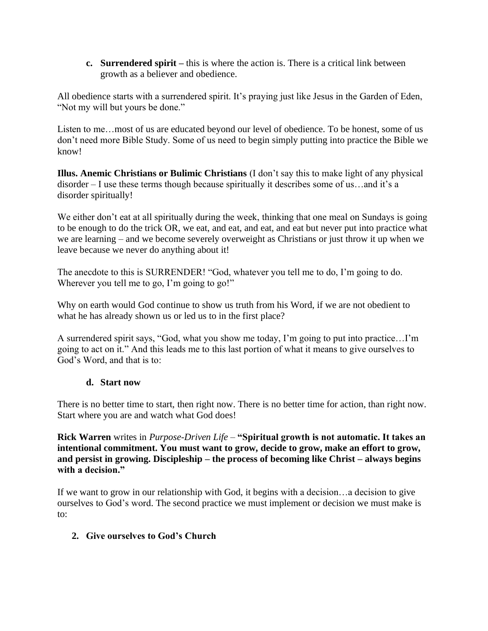**c. Surrendered spirit –** this is where the action is. There is a critical link between growth as a believer and obedience.

All obedience starts with a surrendered spirit. It's praying just like Jesus in the Garden of Eden, "Not my will but yours be done."

Listen to me…most of us are educated beyond our level of obedience. To be honest, some of us don't need more Bible Study. Some of us need to begin simply putting into practice the Bible we know!

**Illus. Anemic Christians or Bulimic Christians** (I don't say this to make light of any physical disorder – I use these terms though because spiritually it describes some of us…and it's a disorder spiritually!

We either don't eat at all spiritually during the week, thinking that one meal on Sundays is going to be enough to do the trick OR, we eat, and eat, and eat, and eat but never put into practice what we are learning – and we become severely overweight as Christians or just throw it up when we leave because we never do anything about it!

The anecdote to this is SURRENDER! "God, whatever you tell me to do, I'm going to do. Wherever you tell me to go, I'm going to go!"

Why on earth would God continue to show us truth from his Word, if we are not obedient to what he has already shown us or led us to in the first place?

A surrendered spirit says, "God, what you show me today, I'm going to put into practice…I'm going to act on it." And this leads me to this last portion of what it means to give ourselves to God's Word, and that is to:

# **d. Start now**

There is no better time to start, then right now. There is no better time for action, than right now. Start where you are and watch what God does!

**Rick Warren** writes in *Purpose-Driven Life –* **"Spiritual growth is not automatic. It takes an intentional commitment. You must want to grow, decide to grow, make an effort to grow, and persist in growing. Discipleship – the process of becoming like Christ – always begins with a decision."**

If we want to grow in our relationship with God, it begins with a decision…a decision to give ourselves to God's word. The second practice we must implement or decision we must make is to:

# **2. Give ourselves to God's Church**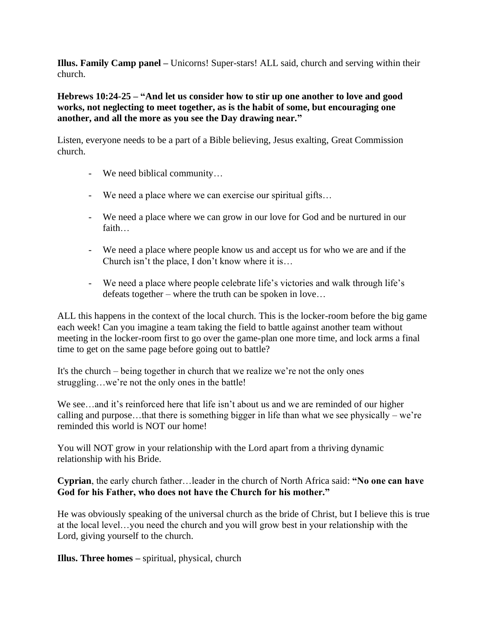**Illus. Family Camp panel –** Unicorns! Super-stars! ALL said, church and serving within their church.

**Hebrews 10:24-25 – "And let us consider how to stir up one another to love and good works, not neglecting to meet together, as is the habit of some, but encouraging one another, and all the more as you see the Day drawing near."**

Listen, everyone needs to be a part of a Bible believing, Jesus exalting, Great Commission church.

- We need biblical community…
- We need a place where we can exercise our spiritual gifts…
- We need a place where we can grow in our love for God and be nurtured in our faith…
- We need a place where people know us and accept us for who we are and if the Church isn't the place, I don't know where it is…
- We need a place where people celebrate life's victories and walk through life's defeats together – where the truth can be spoken in love…

ALL this happens in the context of the local church. This is the locker-room before the big game each week! Can you imagine a team taking the field to battle against another team without meeting in the locker-room first to go over the game-plan one more time, and lock arms a final time to get on the same page before going out to battle?

It's the church – being together in church that we realize we're not the only ones struggling…we're not the only ones in the battle!

We see...and it's reinforced here that life isn't about us and we are reminded of our higher calling and purpose...that there is something bigger in life than what we see physically – we're reminded this world is NOT our home!

You will NOT grow in your relationship with the Lord apart from a thriving dynamic relationship with his Bride.

**Cyprian**, the early church father…leader in the church of North Africa said: **"No one can have God for his Father, who does not have the Church for his mother."**

He was obviously speaking of the universal church as the bride of Christ, but I believe this is true at the local level…you need the church and you will grow best in your relationship with the Lord, giving yourself to the church.

**Illus. Three homes –** spiritual, physical, church